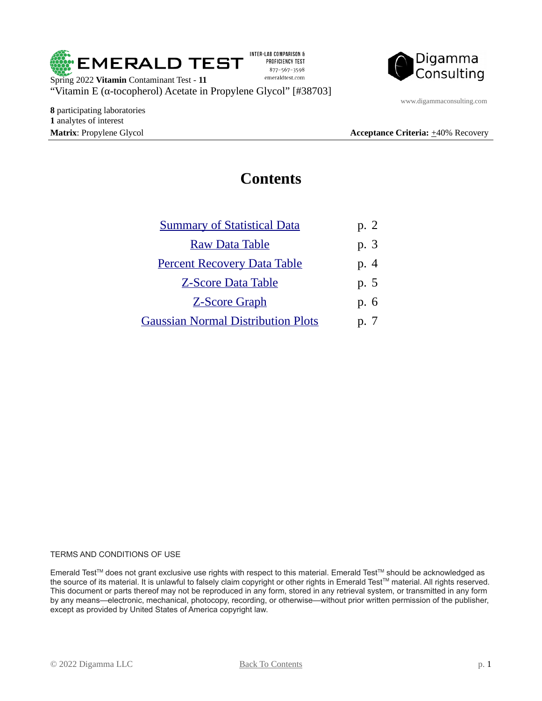

INTER-LAB COMPARISON & PROFICIENCY TEST 877-567-3598 emeraldtest.com



www.digammaconsulting.com

**8** participating laboratories **1** analytes of interest

**Matrix**: Propylene Glycol **Acceptance Criteria:**  $\pm$ 40% Recovery

#### <span id="page-0-0"></span>**Contents**

| <b>Summary of Statistical Data</b>        | p. 2         |
|-------------------------------------------|--------------|
| <b>Raw Data Table</b>                     | p. 3         |
| <b>Percent Recovery Data Table</b>        | p. 4         |
| <b>Z-Score Data Table</b>                 | p. 5         |
| <b>Z-Score Graph</b>                      | p. 6         |
| <b>Gaussian Normal Distribution Plots</b> | $n^{\prime}$ |

#### TERMS AND CONDITIONS OF USE

Emerald Test™ does not grant exclusive use rights with respect to this material. Emerald Test™ should be acknowledged as the source of its material. It is unlawful to falsely claim copyright or other rights in Emerald Test™ material. All rights reserved. This document or parts thereof may not be reproduced in any form, stored in any retrieval system, or transmitted in any form by any means—electronic, mechanical, photocopy, recording, or otherwise—without prior written permission of the publisher, except as provided by United States of America copyright law.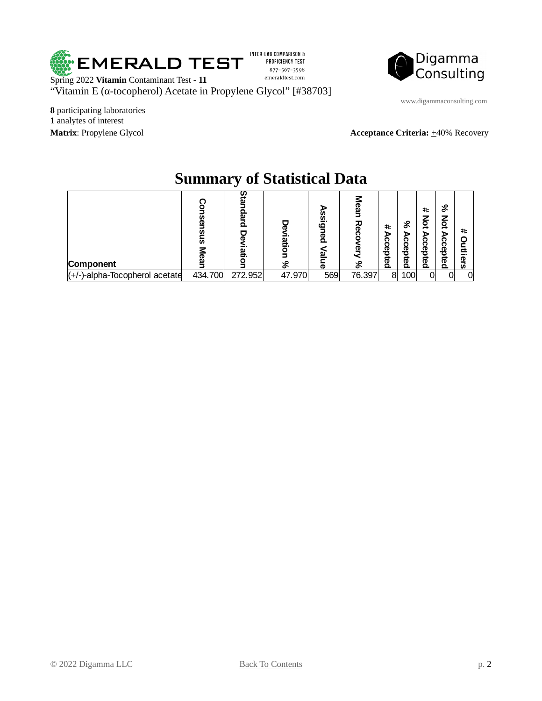

INTER-LAB COMPARISON & PROFICIENCY TEST 877-567-3598 emeraldtest.com



www.digammaconsulting.com

**8** participating laboratories **1** analytes of interest

**Matrix**: Propylene Glycol **Acceptance Criteria:**  $\pm$ 40% Recovery

|                                |                       | ◡            |                  |                                     |         |                        |                       |                                       |                                        |               |
|--------------------------------|-----------------------|--------------|------------------|-------------------------------------|---------|------------------------|-----------------------|---------------------------------------|----------------------------------------|---------------|
| Component                      | <u>ଗ୍ର</u><br>፵<br>ັທ | m<br>മ<br>נם | 5<br>iation<br>℅ | $\mathbf{C}$<br>ලි<br>യ<br>$\sigma$ | 징<br>వి | #<br>⋗<br>ົດ<br>cepted | వ<br>ъ<br>ō<br>cepted | #<br>₫<br>в<br>ი<br>п<br>Φ<br>੦ੁ<br>g | వ<br>る<br>Ā<br>Ω<br>n<br>መ<br>ъ<br>ក្ខ | #<br>–<br>ers |
| (+/-)-alpha-Tocopherol acetate | 434.700               | 272.952      | 47.970           | 569                                 | 76.397  | 8                      | 100                   |                                       | ∩⊩                                     | $\Omega$      |

## <span id="page-1-0"></span>**Summary of Statistical Data**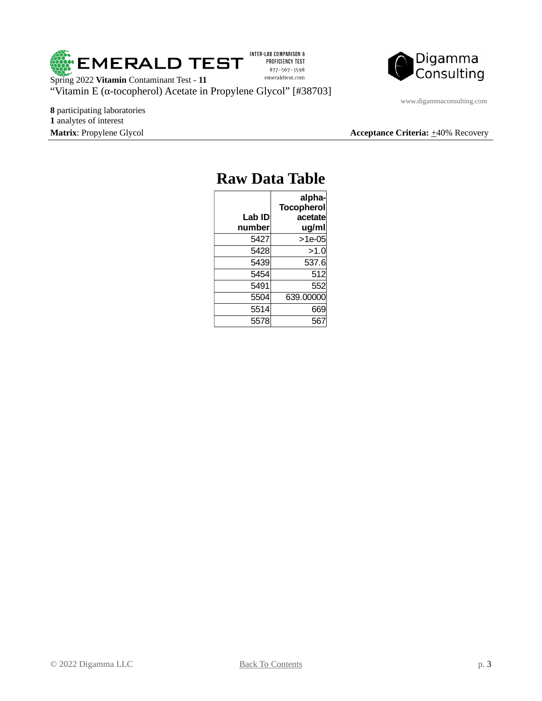

INTER-LAB COMPARISON & PROFICIENCY TEST 877-567-3598 emeraldtest.com



www.digammaconsulting.com

**8** participating laboratories **1** analytes of interest

**Matrix**: Propylene Glycol **Acceptance Criteria:**  $\pm$ 40% Recovery

| Kaw Dala Tanie   |                                                 |  |
|------------------|-------------------------------------------------|--|
| Lab ID<br>number | alpha-<br><b>Tocopherol</b><br>acetate<br>ug/ml |  |
| 5427             | $>1e-05$                                        |  |
| 5428             | >1.0                                            |  |
| 5439             | 537.6                                           |  |
| 5454             | 512                                             |  |
| 5491             | 552                                             |  |
| 5504             | 639.00000                                       |  |
| 5514             | 669                                             |  |
| 5578             | 56                                              |  |

#### <span id="page-2-0"></span>**Raw Data Table**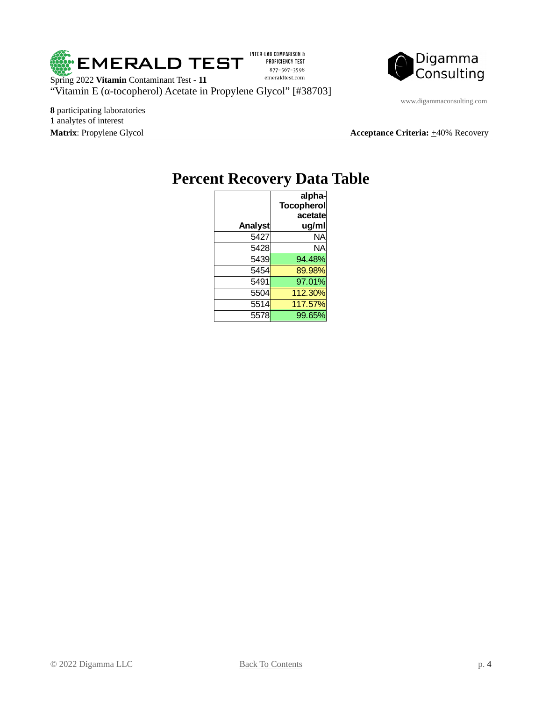

INTER-LAB COMPARISON & PROFICIENCY TEST 877-567-3598 emeraldtest.com

Digamma<br>Consulting

www.digammaconsulting.com

**8** participating laboratories **1** analytes of interest

**Matrix**: Propylene Glycol **Acceptance Criteria:**  $\pm$ 40% Recovery

## <span id="page-3-0"></span>**Percent Recovery Data Table**

|         | alpha-<br><b>Tocopherol</b> |  |
|---------|-----------------------------|--|
| Analyst | acetate<br>ug/ml            |  |
| 5427    | NΑ                          |  |
| 5428    | <b>NA</b>                   |  |
| 5439    | 94.48%                      |  |
| 5454    | 89.98%                      |  |
| 5491    | 97.01%                      |  |
| 5504    | 112.30%                     |  |
| 5514    | 117.57%                     |  |
| 5578    | 99.65%                      |  |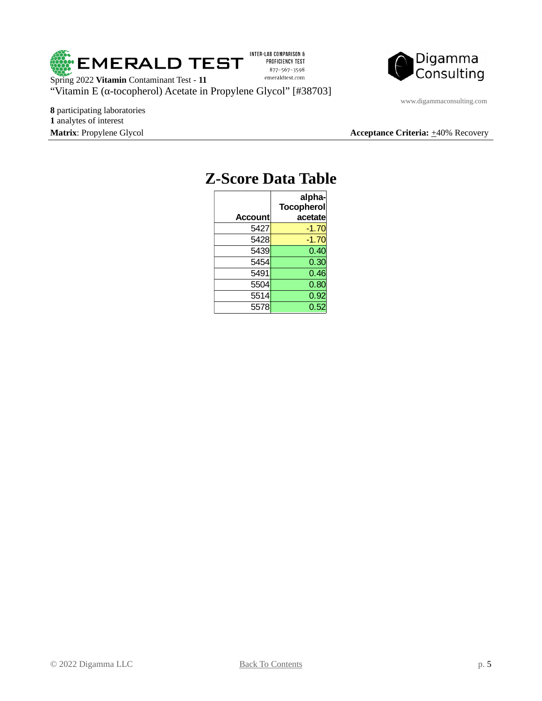

INTER-LAB COMPARISON & PROFICIENCY TEST 877-567-3598 emeraldtest.com



www.digammaconsulting.com

**8** participating laboratories **1** analytes of interest

**Matrix**: Propylene Glycol **Acceptance Criteria:**  $\pm$ 40% Recovery

| Z-SCOre Data Tab |                                        |  |  |
|------------------|----------------------------------------|--|--|
| <b>Account</b>   | alpha-<br><b>Tocopherol</b><br>acetate |  |  |
| 5427             | $-1.70$                                |  |  |
| 5428             | $-1.70$                                |  |  |
| 5439             | 0.40                                   |  |  |
| 5454             | 0.30                                   |  |  |
| 5491             | 0.46                                   |  |  |
| 5504             | 0.80                                   |  |  |
| 5514             | 0.92                                   |  |  |
| 5578             | 0.52                                   |  |  |

# <span id="page-4-0"></span>**Z-Score Data Table**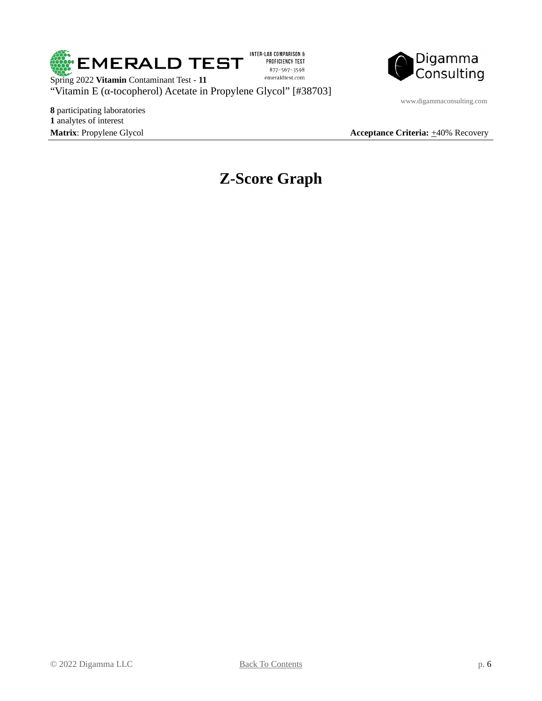

INTER-LAB COMPARISON & PROFICIENCY TEST 877-567-3598 emeraldtest.com



Spring 2022 **Vitamin** Contaminant Test - **11** "Vitamin E (α-tocopherol) Acetate in Propylene Glycol" [#38703]

**8** participating laboratories **1** analytes of interest

www.digammaconsulting.com

**Matrix**: Propylene Glycol **Acceptance Criteria:**  $\pm$ 40% Recovery

### <span id="page-5-0"></span>**Z-Score Graph**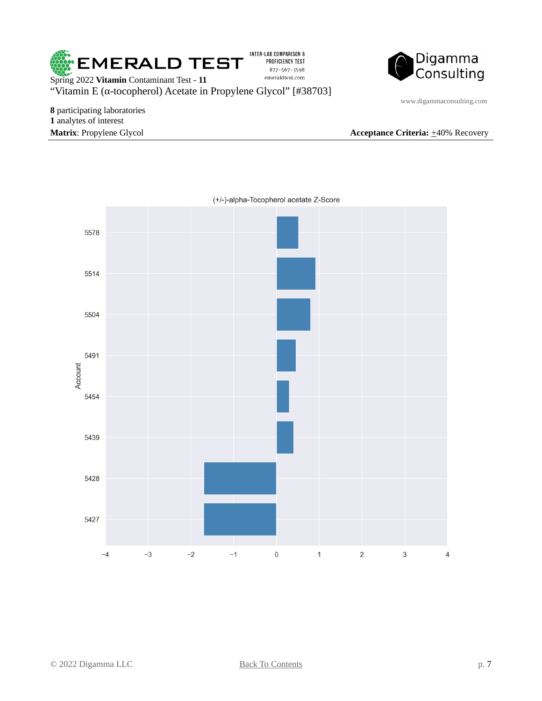

Digamma<br>Consulting

Spring 2022 **Vitamin** Contaminant Test - **11** "Vitamin E (α-tocopherol) Acetate in Propylene Glycol" [#38703]

**8** participating laboratories **1** analytes of interest **Matrix**: Propylene Glycol **Acceptance Criteria:**  $\pm$ 40% Recovery

www.digammaconsulting.com

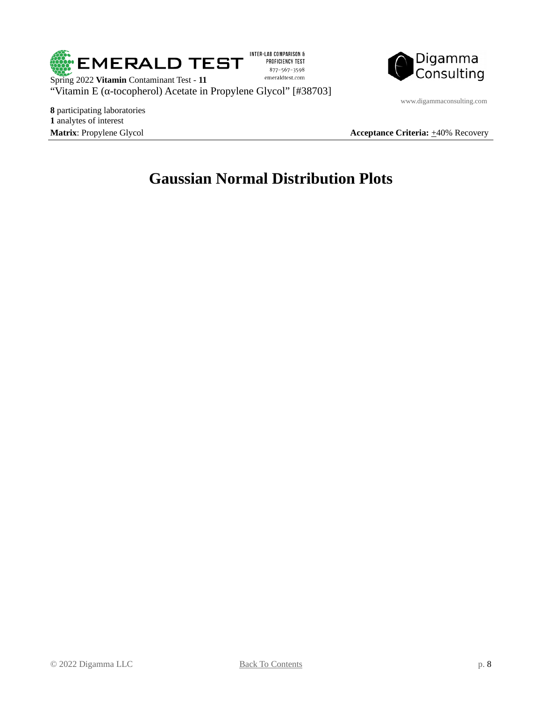

INTER-LAB COMPARISON & PROFICIENCY TEST 877-567-3598 emeraldtest.com



Spring 2022 **Vitamin** Contaminant Test - **11** "Vitamin E (α-tocopherol) Acetate in Propylene Glycol" [#38703]

**8** participating laboratories **1** analytes of interest

www.digammaconsulting.com

**Matrix**: Propylene Glycol **Acceptance Criteria:**  $\pm$ 40% Recovery

## <span id="page-7-0"></span>**Gaussian Normal Distribution Plots**